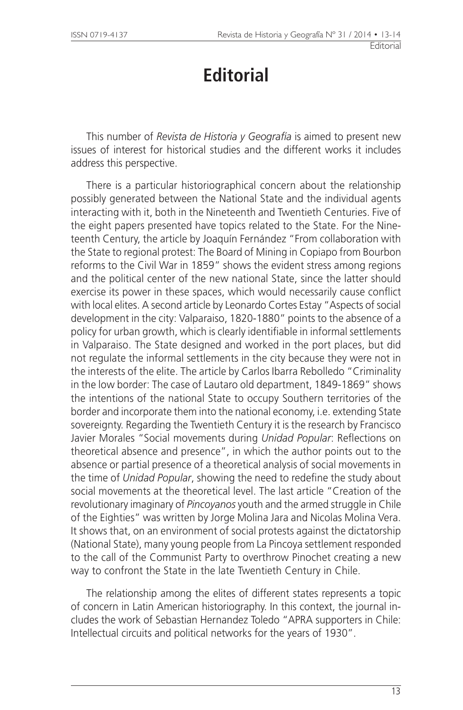## **Editorial**

This number of *Revista de Historia y Geografía* is aimed to present new issues of interest for historical studies and the different works it includes address this perspective.

There is a particular historiographical concern about the relationship possibly generated between the National State and the individual agents interacting with it, both in the Nineteenth and Twentieth Centuries. Five of the eight papers presented have topics related to the State. For the Nineteenth Century, the article by Joaquín Fernández "From collaboration with the State to regional protest: The Board of Mining in Copiapo from Bourbon reforms to the Civil War in 1859" shows the evident stress among regions and the political center of the new national State, since the latter should exercise its power in these spaces, which would necessarily cause conflict with local elites. A second article by Leonardo Cortes Estay "Aspects of social development in the city: Valparaiso, 1820-1880" points to the absence of a policy for urban growth, which is clearly identifiable in informal settlements in Valparaiso. The State designed and worked in the port places, but did not regulate the informal settlements in the city because they were not in the interests of the elite. The article by Carlos Ibarra Rebolledo "Criminality in the low border: The case of Lautaro old department, 1849-1869" shows the intentions of the national State to occupy Southern territories of the border and incorporate them into the national economy, i.e. extending State sovereignty. Regarding the Twentieth Century it is the research by Francisco Javier Morales "Social movements during *Unidad Popular*: Reflections on theoretical absence and presence", in which the author points out to the absence or partial presence of a theoretical analysis of social movements in the time of *Unidad Popular*, showing the need to redefine the study about social movements at the theoretical level. The last article "Creation of the revolutionary imaginary of *Pincoyanos* youth and the armed struggle in Chile of the Eighties" was written by Jorge Molina Jara and Nicolas Molina Vera. It shows that, on an environment of social protests against the dictatorship (National State), many young people from La Pincoya settlement responded to the call of the Communist Party to overthrow Pinochet creating a new way to confront the State in the late Twentieth Century in Chile.

The relationship among the elites of different states represents a topic of concern in Latin American historiography. In this context, the journal includes the work of Sebastian Hernandez Toledo "APRA supporters in Chile: Intellectual circuits and political networks for the years of 1930".